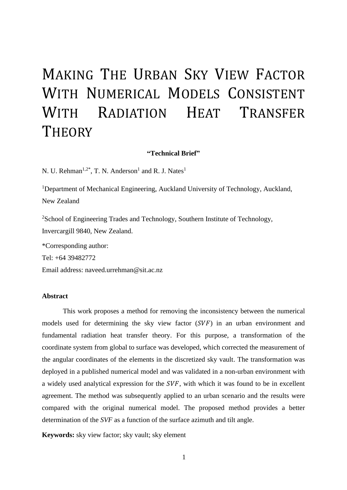# MAKING THE URBAN SKY VIEW FACTOR WITH NUMERICAL MODELS CONSISTENT WITH RADIATION HEAT TRANSFER **THEORY**

#### **"Technical Brief"**

N. U. Rehman<sup>1,2\*</sup>, T. N. Anderson<sup>1</sup> and R. J. Nates<sup>1</sup>

<sup>1</sup>Department of Mechanical Engineering, Auckland University of Technology, Auckland, New Zealand

<sup>2</sup>School of Engineering Trades and Technology, Southern Institute of Technology, Invercargill 9840, New Zealand.

\*Corresponding author:

Tel: +64 39482772

Email address: naveed.urrehman@sit.ac.nz

#### **Abstract**

This work proposes a method for removing the inconsistency between the numerical models used for determining the sky view factor  $(SVF)$  in an urban environment and fundamental radiation heat transfer theory. For this purpose, a transformation of the coordinate system from global to surface was developed, which corrected the measurement of the angular coordinates of the elements in the discretized sky vault. The transformation was deployed in a published numerical model and was validated in a non-urban environment with a widely used analytical expression for the  $SVF$ , with which it was found to be in excellent agreement. The method was subsequently applied to an urban scenario and the results were compared with the original numerical model. The proposed method provides a better determination of the *SVF* as a function of the surface azimuth and tilt angle.

**Keywords:** sky view factor; sky vault; sky element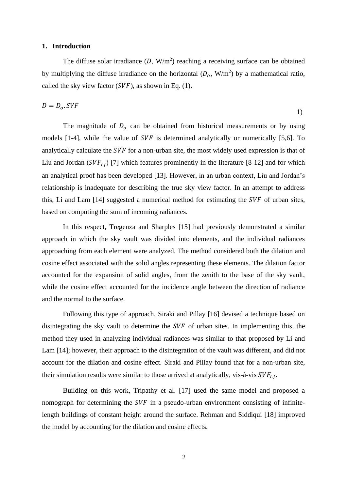#### **1. Introduction**

The diffuse solar irradiance  $(D, W/m^2)$  reaching a receiving surface can be obtained by multiplying the diffuse irradiance on the horizontal  $(D_0, W/m^2)$  by a mathematical ratio, called the sky view factor  $(SVF)$ , as shown in Eq. (1).

$$
D = D_o. SVF
$$

The magnitude of  $D_0$  can be obtained from historical measurements or by using models  $[1-4]$ , while the value of SVF is determined analytically or numerically  $[5,6]$ . To analytically calculate the SVF for a non-urban site, the most widely used expression is that of Liu and Jordan ( $SVF_{L1}$ ) [7] which features prominently in the literature [8-12] and for which an analytical proof has been developed [13]. However, in an urban context, Liu and Jordan's relationship is inadequate for describing the true sky view factor. In an attempt to address this, Li and Lam  $[14]$  suggested a numerical method for estimating the SVF of urban sites, based on computing the sum of incoming radiances.

In this respect, Tregenza and Sharples [15] had previously demonstrated a similar approach in which the sky vault was divided into elements, and the individual radiances approaching from each element were analyzed. The method considered both the dilation and cosine effect associated with the solid angles representing these elements. The dilation factor accounted for the expansion of solid angles, from the zenith to the base of the sky vault, while the cosine effect accounted for the incidence angle between the direction of radiance and the normal to the surface.

Following this type of approach, Siraki and Pillay [16] devised a technique based on disintegrating the sky vault to determine the  $SVF$  of urban sites. In implementing this, the method they used in analyzing individual radiances was similar to that proposed by Li and Lam [14]; however, their approach to the disintegration of the vault was different, and did not account for the dilation and cosine effect. Siraki and Pillay found that for a non-urban site, their simulation results were similar to those arrived at analytically, vis-à-vis  $SVF_{L1}$ .

Building on this work, Tripathy et al. [17] used the same model and proposed a nomograph for determining the  $SVF$  in a pseudo-urban environment consisting of infinitelength buildings of constant height around the surface. Rehman and Siddiqui [18] improved the model by accounting for the dilation and cosine effects.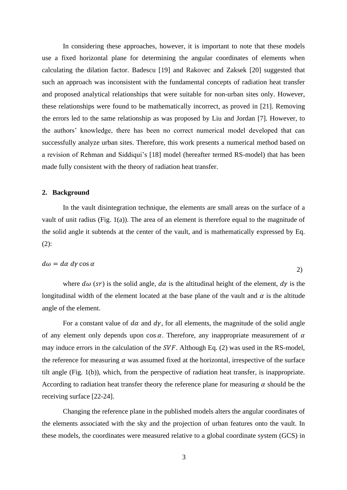In considering these approaches, however, it is important to note that these models use a fixed horizontal plane for determining the angular coordinates of elements when calculating the dilation factor. Badescu [19] and Rakovec and Zaksek [20] suggested that such an approach was inconsistent with the fundamental concepts of radiation heat transfer and proposed analytical relationships that were suitable for non-urban sites only. However, these relationships were found to be mathematically incorrect, as proved in [21]. Removing the errors led to the same relationship as was proposed by Liu and Jordan [7]. However, to the authors' knowledge, there has been no correct numerical model developed that can successfully analyze urban sites. Therefore, this work presents a numerical method based on a revision of Rehman and Siddiqui's [18] model (hereafter termed RS-model) that has been made fully consistent with the theory of radiation heat transfer.

#### **2. Background**

In the vault disintegration technique, the elements are small areas on the surface of a vault of unit radius (Fig. 1(a)). The area of an element is therefore equal to the magnitude of the solid angle it subtends at the center of the vault, and is mathematically expressed by Eq. (2):

#### $d\omega = d\alpha \, d\gamma \cos \alpha$

where  $d\omega$  (sr) is the solid angle,  $d\alpha$  is the altitudinal height of the element,  $d\gamma$  is the longitudinal width of the element located at the base plane of the vault and  $\alpha$  is the altitude angle of the element.

2)

For a constant value of  $d\alpha$  and  $dy$ , for all elements, the magnitude of the solid angle of any element only depends upon  $\cos \alpha$ . Therefore, any inappropriate measurement of  $\alpha$ may induce errors in the calculation of the  $SVF$ . Although Eq. (2) was used in the RS-model, the reference for measuring  $\alpha$  was assumed fixed at the horizontal, irrespective of the surface tilt angle (Fig. 1(b)), which, from the perspective of radiation heat transfer, is inappropriate. According to radiation heat transfer theory the reference plane for measuring  $\alpha$  should be the receiving surface [22-24].

Changing the reference plane in the published models alters the angular coordinates of the elements associated with the sky and the projection of urban features onto the vault. In these models, the coordinates were measured relative to a global coordinate system (GCS) in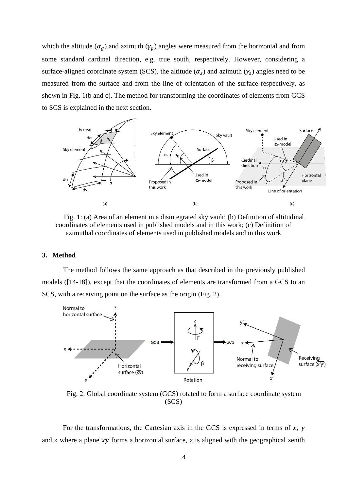which the altitude  $(\alpha_g)$  and azimuth  $(\gamma_g)$  angles were measured from the horizontal and from some standard cardinal direction, e.g. true south, respectively. However, considering a surface-aligned coordinate system (SCS), the altitude  $(\alpha_s)$  and azimuth  $(\gamma_s)$  angles need to be measured from the surface and from the line of orientation of the surface respectively, as shown in Fig. 1(b and c). The method for transforming the coordinates of elements from GCS to SCS is explained in the next section.



Fig. 1: (a) Area of an element in a disintegrated sky vault; (b) Definition of altitudinal coordinates of elements used in published models and in this work; (c) Definition of azimuthal coordinates of elements used in published models and in this work

#### **3. Method**

The method follows the same approach as that described in the previously published models ([14-18]), except that the coordinates of elements are transformed from a GCS to an SCS, with a receiving point on the surface as the origin (Fig. 2).



Fig. 2: Global coordinate system (GCS) rotated to form a surface coordinate system (SCS)

For the transformations, the Cartesian axis in the GCS is expressed in terms of  $x$ ,  $y$ and z where a plane  $\overline{xy}$  forms a horizontal surface, z is aligned with the geographical zenith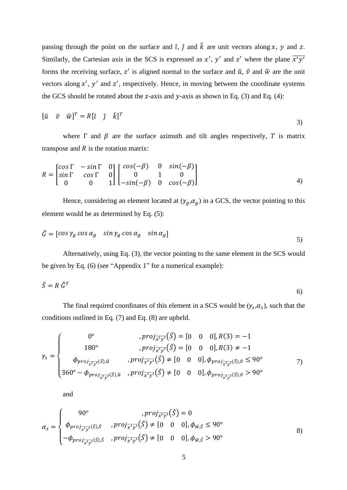passing through the point on the surface and  $\hat{i}$ ,  $\hat{j}$  and  $\hat{k}$  are unit vectors along x, y and z. Similarly, the Cartesian axis in the SCS is expressed as  $x'$ ,  $y'$  and  $z'$  where the plane  $\overline{x'y'}$ forms the receiving surface, z' is aligned normal to the surface and  $\hat{u}$ ,  $\hat{v}$  and  $\hat{w}$  are the unit vectors along  $x'$ ,  $y'$  and  $z'$ , respectively. Hence, in moving between the coordinate systems the GCS should be rotated about the z-axis and  $y$ -axis as shown in Eq. (3) and Eq. (4):

$$
[\hat{u} \quad \hat{v} \quad \hat{w}]^T = R[\hat{i} \quad \hat{j} \quad \hat{k}]^T
$$

where  $\Gamma$  and  $\beta$  are the surface azimuth and tilt angles respectively,  $T$  is matrix transpose and  $R$  is the rotation matrix:

$$
R = \begin{bmatrix} \cos \Gamma & -\sin \Gamma & 0 \\ \sin \Gamma & \cos \Gamma & 0 \\ 0 & 0 & 1 \end{bmatrix} \begin{bmatrix} \cos(-\beta) & 0 & \sin(-\beta) \\ 0 & 1 & 0 \\ -\sin(-\beta) & 0 & \cos(-\beta) \end{bmatrix} \tag{4}
$$

Hence, considering an element located at  $(\gamma_g, \alpha_g)$  in a GCS, the vector pointing to this element would be as determined by Eq. (5):

$$
\hat{G} = [\cos \gamma_g \cos \alpha_g \quad \sin \gamma_g \cos \alpha_g \quad \sin \alpha_g]
$$

Alternatively, using Eq. (3), the vector pointing to the same element in the SCS would be given by Eq. (6) (see "Appendix 1" for a numerical example):

$$
\hat{S} = R \; \hat{G}^T \tag{6}
$$

The final required coordinates of this element in a SCS would be  $(\gamma_s, \alpha_s)$ , such that the conditions outlined in Eq. (7) and Eq. (8) are upheld.

$$
\gamma_{s} = \begin{cases}\n0^{\circ} & , proj_{\overline{x'y'}}(\hat{S}) = [0 \quad 0 \quad 0], R(3) = -1 \\
180^{\circ} & , proj_{\overline{x'y'}}(\hat{S}) = [0 \quad 0 \quad 0], R(3) \neq -1 \\
\phi_{proj_{\overline{x'y'}}(\hat{S}), \hat{u}} & , proj_{\overline{x'y'}}(\hat{S}) \neq [0 \quad 0 \quad 0], \phi_{proj_{\overline{x'y'}}(\hat{S}), \hat{v}} \leq 90^{\circ} \\
360^{\circ} - \phi_{proj_{\overline{x'y'}}(\hat{S}), \hat{u}} & , proj_{\overline{x'y'}}(\hat{S}) \neq [0 \quad 0 \quad 0], \phi_{proj_{\overline{x'y'}}(\hat{S}), \hat{v}} > 90^{\circ}\n\end{cases}
$$

and

$$
\alpha_{s} = \begin{cases}\n90^{\circ} & ,proj_{\overline{x'y'}}(\hat{S}) = 0 \\
\phi_{proj_{\overline{x'y'}}(\hat{S}), \hat{S}} & ,proj_{\overline{x'y'}}(\hat{S}) \neq [0 \quad 0 \quad 0], \phi_{\hat{w}, \hat{S}} \leq 90^{\circ} \\
-\phi_{proj_{\overline{x'y'}}(\hat{S}), \hat{S}} & ,proj_{\overline{x'y'}}(\hat{S}) \neq [0 \quad 0 \quad 0], \phi_{\hat{w}, \hat{S}} > 90^{\circ}\n\end{cases}
$$
\n8)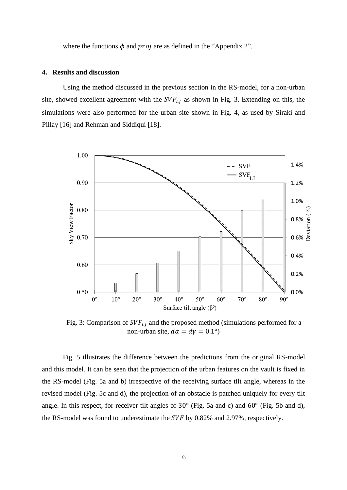where the functions  $\phi$  and *proj* are as defined in the "Appendix 2".

#### **4. Results and discussion**

Using the method discussed in the previous section in the RS-model, for a non-urban site, showed excellent agreement with the  $SVF_{LI}$  as shown in Fig. 3. Extending on this, the simulations were also performed for the urban site shown in Fig. 4, as used by Siraki and Pillay [16] and Rehman and Siddiqui [18].



Fig. 3: Comparison of  $SVF_{LI}$  and the proposed method (simulations performed for a non-urban site,  $d\alpha = d\gamma = 0.1^{\circ}$ 

Fig. 5 illustrates the difference between the predictions from the original RS-model and this model. It can be seen that the projection of the urban features on the vault is fixed in the RS-model (Fig. 5a and b) irrespective of the receiving surface tilt angle, whereas in the revised model (Fig. 5c and d), the projection of an obstacle is patched uniquely for every tilt angle. In this respect, for receiver tilt angles of 30° (Fig. 5a and c) and 60° (Fig. 5b and d), the RS-model was found to underestimate the  $SVF$  by 0.82% and 2.97%, respectively.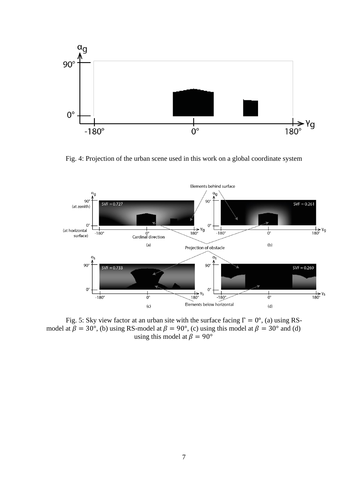

Fig. 4: Projection of the urban scene used in this work on a global coordinate system



Fig. 5: Sky view factor at an urban site with the surface facing  $\Gamma = 0^{\circ}$ , (a) using RSmodel at  $\beta = 30^{\circ}$ , (b) using RS-model at  $\beta = 90^{\circ}$ , (c) using this model at  $\beta = 30^{\circ}$  and (d) using this model at  $\beta = 90^{\circ}$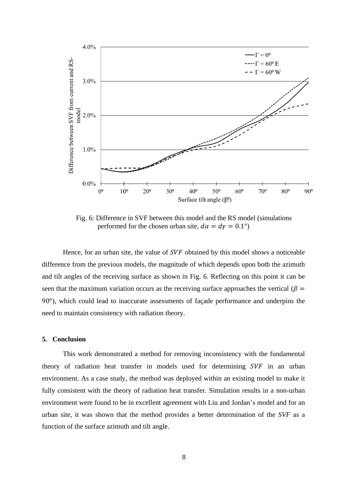

Fig. 6: Difference in SVF between this model and the RS model (simulations performed for the chosen urban site,  $d\alpha = d\gamma = 0.1^{\circ}$ 

Hence, for an urban site, the value of  $SVF$  obtained by this model shows a noticeable difference from the previous models, the magnitude of which depends upon both the azimuth and tilt angles of the receiving surface as shown in Fig. 6. Reflecting on this point it can be seen that the maximum variation occurs as the receiving surface approaches the vertical ( $\beta$  = 90°), which could lead to inaccurate assessments of façade performance and underpins the need to maintain consistency with radiation theory.

#### **5. Conclusion**

This work demonstrated a method for removing inconsistency with the fundamental theory of radiation heat transfer in models used for determining  $SVF$  in an urban environment. As a case study, the method was deployed within an existing model to make it fully consistent with the theory of radiation heat transfer. Simulation results in a non-urban environment were found to be in excellent agreement with Liu and Jordan's model and for an urban site, it was shown that the method provides a better determination of the *SVF* as a function of the surface azimuth and tilt angle.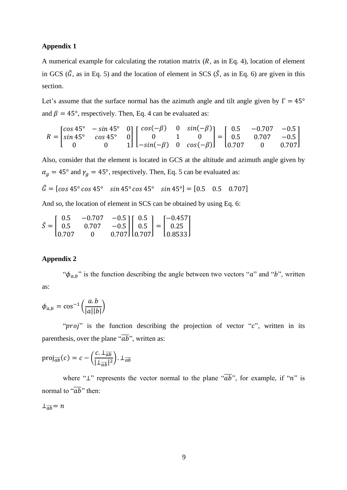#### **Appendix 1**

A numerical example for calculating the rotation matrix  $(R, as in Eq. 4)$ , location of element in GCS ( $\hat{G}$ , as in Eq. 5) and the location of element in SCS ( $\hat{S}$ , as in Eq. 6) are given in this section.

Let's assume that the surface normal has the azimuth angle and tilt angle given by  $\Gamma = 45^{\circ}$ and  $\beta = 45^{\circ}$ , respectively. Then, Eq. 4 can be evaluated as:

$$
R = \begin{bmatrix} \cos 45^{\circ} & -\sin 45^{\circ} & 0 \\ \sin 45^{\circ} & \cos 45^{\circ} & 0 \\ 0 & 0 & 1 \end{bmatrix} \begin{bmatrix} \cos(-\beta) & 0 & \sin(-\beta) \\ 0 & 1 & 0 \\ -\sin(-\beta) & 0 & \cos(-\beta) \end{bmatrix} = \begin{bmatrix} 0.5 & -0.707 & -0.5 \\ 0.5 & 0.707 & -0.5 \\ 0.707 & 0 & 0.707 \end{bmatrix}
$$

Also, consider that the element is located in GCS at the altitude and azimuth angle given by  $\alpha_g = 45^\circ$  and  $\gamma_g = 45^\circ$ , respectively. Then, Eq. 5 can be evaluated as:

$$
\hat{G} = [cos 45^{\circ} cos 45^{\circ} sin 45^{\circ} cos 45^{\circ} sin 45^{\circ}] = [0.5 \quad 0.5 \quad 0.707]
$$

And so, the location of element in SCS can be obtained by using Eq. 6:

$$
\hat{S} = \begin{bmatrix} 0.5 & -0.707 & -0.5 \\ 0.5 & 0.707 & -0.5 \\ 0.707 & 0 & 0.707 \end{bmatrix} \begin{bmatrix} 0.5 \\ 0.5 \\ 0.707 \end{bmatrix} = \begin{bmatrix} -0.457 \\ 0.25 \\ 0.8533 \end{bmatrix}
$$

#### **Appendix 2**

" $\phi_{a,b}$ " is the function describing the angle between two vectors "a" and "b", written as:

$$
\phi_{a,b} = \cos^{-1}\left(\frac{a.b}{|a||b|}\right)
$$

" $proj$ " is the function describing the projection of vector " $c$ ", written in its parenthesis, over the plane " $\overline{ab}$ ", written as:

$$
\text{proj}_{\overline{ab}}(c) = c - \left(\frac{c \cdot \perp_{\overline{ab}}}{|\perp_{\overline{ab}}|^2}\right) \cdot \perp_{\overline{ab}}
$$

where "⊥" represents the vector normal to the plane " $\overline{ab}$ ", for example, if "n" is normal to " $\overline{ab}$ " then:

$$
\perp \overline{ab} = n
$$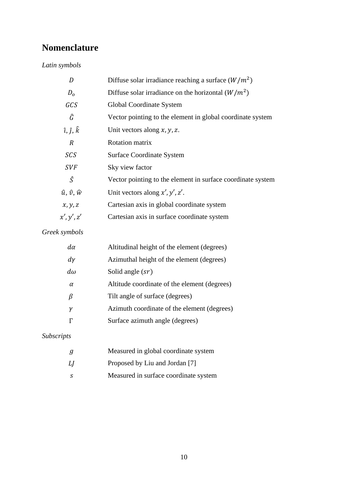## **Nomenclature**

## *Latin symbols*

| D                           | Diffuse solar irradiance reaching a surface $(W/m^2)$       |
|-----------------------------|-------------------------------------------------------------|
| D <sub>o</sub>              | Diffuse solar irradiance on the horizontal $(W/m^2)$        |
| GCS                         | Global Coordinate System                                    |
| Ĝ                           | Vector pointing to the element in global coordinate system  |
| $\hat{i}, \hat{j}, \hat{k}$ | Unit vectors along $x, y, z$ .                              |
| $\overline{R}$              | Rotation matrix                                             |
| SCS                         | Surface Coordinate System                                   |
| <b>SVF</b>                  | Sky view factor                                             |
| Ŝ                           | Vector pointing to the element in surface coordinate system |
| $\hat{u}, \hat{v}, \hat{w}$ | Unit vectors along $x', y', z'$ .                           |
| x, y, z                     | Cartesian axis in global coordinate system                  |
| x', y', z'                  | Cartesian axis in surface coordinate system                 |

## *Greek symbols*

| $d\alpha$ | Altitudinal height of the element (degrees)  |
|-----------|----------------------------------------------|
| $d\gamma$ | Azimuthal height of the element (degrees)    |
| $d\omega$ | Solid angle $(sr)$                           |
| $\alpha$  | Altitude coordinate of the element (degrees) |
| ß         | Tilt angle of surface (degrees)              |
| ν         | Azimuth coordinate of the element (degrees)  |
|           | Surface azimuth angle (degrees)              |

## *Subscripts*

| g   | Measured in global coordinate system  |
|-----|---------------------------------------|
| LJ  | Proposed by Liu and Jordan [7]        |
| - 5 | Measured in surface coordinate system |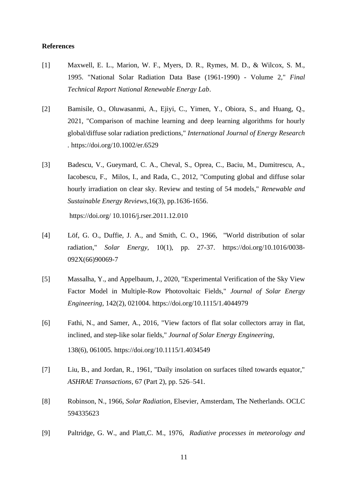#### **References**

- [1] Maxwell, E. L., Marion, W. F., Myers, D. R., Rymes, M. D., & Wilcox, S. M., 1995. "National Solar Radiation Data Base (1961-1990) - Volume 2," *Final Technical Report National Renewable Energy Lab*.
- [2] Bamisile, O., Oluwasanmi, A., Ejiyi, C., Yimen, Y., Obiora, S., and Huang, Q., 2021, "Comparison of machine learning and deep learning algorithms for hourly global/diffuse solar radiation predictions," *International Journal of Energy Research .* https://doi.org[/10.1002/er.6529](http://dx.doi.org/10.1002/er.6529)
- [3] Badescu, V., Gueymard, C. A., Cheval, S., Oprea, C., Baciu, M., Dumitrescu, A., Iacobescu, F., Milos, I., and Rada, C., 2012, "Computing global and diffuse solar hourly irradiation on clear sky. Review and testing of 54 models," *Renewable and Sustainable Energy Reviews,*16(3), pp.1636-1656.

https://doi.org/ [10.1016/j.rser.2011.12.010](http://dx.doi.org/10.1016%2Fj.rser.2011.12.010)

- [4] Löf, G. O., Duffie, J. A., and Smith, C. O., 1966, "World distribution of solar radiation," *Solar Energy,* 10(1), pp. 27-37. [https://doi.org/10.1016/0038-](https://doi.org/10.1016/0038-092X(66)90069-7) [092X\(66\)90069-7](https://doi.org/10.1016/0038-092X(66)90069-7)
- [5] Massalha, Y., and Appelbaum, J., 2020, "Experimental Verification of the Sky View Factor Model in Multiple-Row Photovoltaic Fields," *Journal of Solar Energy Engineering,* 142(2), 021004. https://doi.org/10.1115/1.4044979
- [6] Fathi, N., and Samer, A., 2016, "View factors of flat solar collectors array in flat, inclined, and step-like solar fields," *Journal of Solar Energy Engineering,*  138(6), 061005. https://doi.org[/10.1115/1.4034549](http://dx.doi.org/10.1115/1.4034549)
- [7] Liu, B., and Jordan, R., 1961, "Daily insolation on surfaces tilted towards equator," *ASHRAE Transactions,* 67 (Part 2), pp. 526–541.
- [8] Robinson, N., 1966, *Solar Radiation*, Elsevier, Amsterdam, The Netherlands. OCLC 594335623
- [9] Paltridge, G. W., and Platt,C. M., 1976, *Radiative processes in meteorology and*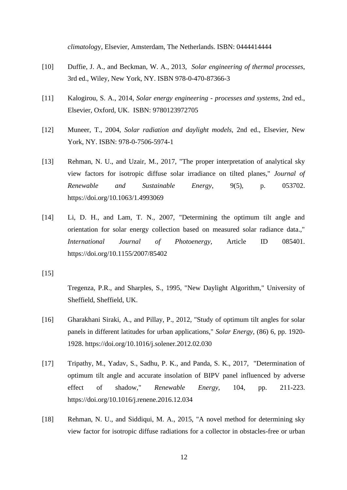*climatolog*y, Elsevier, Amsterdam, The Netherlands. ISBN: 0444414444

- [10] Duffie, J. A., and Beckman, W. A., 2013, *Solar engineering of thermal processes*, 3rd ed., Wiley, New York, NY. ISBN 978-0-470-87366-3
- [11] Kalogirou, S. A., 2014, *Solar energy engineering - processes and systems*, 2nd ed., Elsevier, Oxford, UK. ISBN: 9780123972705
- [12] Muneer, T., 2004, *Solar radiation and daylight models,* 2nd ed., Elsevier, New York, NY. ISBN: 978-0-7506-5974-1
- [13] Rehman, N. U., and Uzair, M., 2017, "The proper interpretation of analytical sky view factors for isotropic diffuse solar irradiance on tilted planes," *Journal of Renewable and Sustainable Energy*, 9(5), p. 053702. https://doi.org/10.1063/1.4993069
- [14] Li, D. H., and Lam, T. N., 2007, "Determining the optimum tilt angle and orientation for solar energy collection based on measured solar radiance data.," *International Journal of Photoenergy,* Article ID 085401. <https://doi.org/10.1155/2007/85402>

 $[15]$ 

Tregenza, P.R., and Sharples, S., 1995, "New Daylight Algorithm," University of Sheffield, Sheffield, UK.

- [16] Gharakhani Siraki, A., and Pillay, P., 2012, "Study of optimum tilt angles for solar panels in different latitudes for urban applications," *Solar Energy,* (86) 6, pp. 1920- 1928. https://doi.org[/10.1016/j.solener.2012.02.030](http://dx.doi.org/10.1016/j.solener.2012.02.030)
- [17] Tripathy, M., Yadav, S., Sadhu, P. K., and Panda, S. K., 2017, "Determination of optimum tilt angle and accurate insolation of BIPV panel influenced by adverse effect of shadow," *Renewable Energy,* 104, pp. 211-223. <https://doi.org/10.1016/j.renene.2016.12.034>
- [18] Rehman, N. U., and Siddiqui, M. A., 2015, "A novel method for determining sky view factor for isotropic diffuse radiations for a collector in obstacles-free or urban